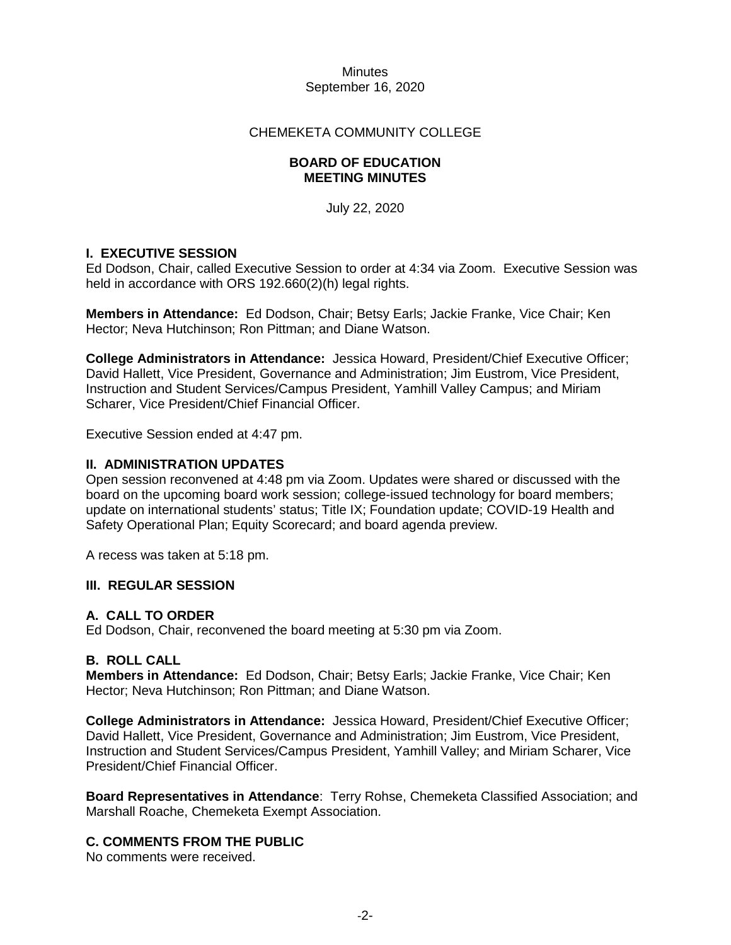### CHEMEKETA COMMUNITY COLLEGE

### **BOARD OF EDUCATION MEETING MINUTES**

July 22, 2020

# **I. EXECUTIVE SESSION**

Ed Dodson, Chair, called Executive Session to order at 4:34 via Zoom. Executive Session was held in accordance with ORS 192.660(2)(h) legal rights.

**Members in Attendance:** Ed Dodson, Chair; Betsy Earls; Jackie Franke, Vice Chair; Ken Hector; Neva Hutchinson; Ron Pittman; and Diane Watson.

**College Administrators in Attendance:** Jessica Howard, President/Chief Executive Officer; David Hallett, Vice President, Governance and Administration; Jim Eustrom, Vice President, Instruction and Student Services/Campus President, Yamhill Valley Campus; and Miriam Scharer, Vice President/Chief Financial Officer.

Executive Session ended at 4:47 pm.

### **II. ADMINISTRATION UPDATES**

Open session reconvened at 4:48 pm via Zoom. Updates were shared or discussed with the board on the upcoming board work session; college-issued technology for board members; update on international students' status; Title IX; Foundation update; COVID-19 Health and Safety Operational Plan; Equity Scorecard; and board agenda preview.

A recess was taken at 5:18 pm.

### **III. REGULAR SESSION**

### **A. CALL TO ORDER**

Ed Dodson, Chair, reconvened the board meeting at 5:30 pm via Zoom.

# **B. ROLL CALL**

**Members in Attendance:** Ed Dodson, Chair; Betsy Earls; Jackie Franke, Vice Chair; Ken Hector; Neva Hutchinson; Ron Pittman; and Diane Watson.

**College Administrators in Attendance:** Jessica Howard, President/Chief Executive Officer; David Hallett, Vice President, Governance and Administration; Jim Eustrom, Vice President, Instruction and Student Services/Campus President, Yamhill Valley; and Miriam Scharer, Vice President/Chief Financial Officer.

**Board Representatives in Attendance**: Terry Rohse, Chemeketa Classified Association; and Marshall Roache, Chemeketa Exempt Association.

# **C. COMMENTS FROM THE PUBLIC**

No comments were received.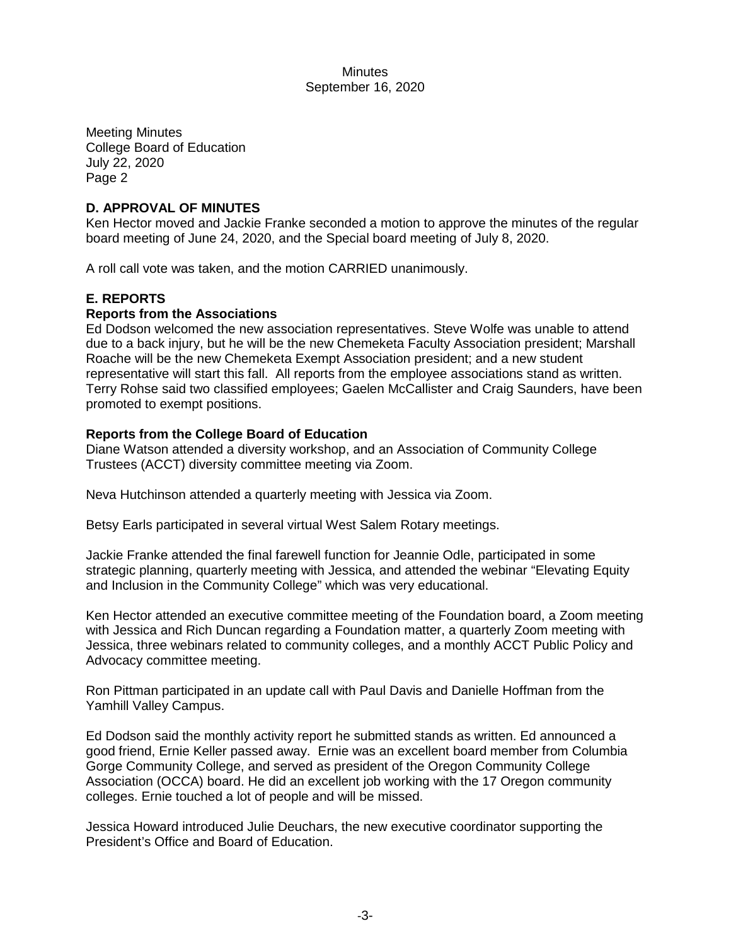Meeting Minutes College Board of Education July 22, 2020 Page 2

# **D. APPROVAL OF MINUTES**

Ken Hector moved and Jackie Franke seconded a motion to approve the minutes of the regular board meeting of June 24, 2020, and the Special board meeting of July 8, 2020.

A roll call vote was taken, and the motion CARRIED unanimously.

# **E. REPORTS**

### **Reports from the Associations**

Ed Dodson welcomed the new association representatives. Steve Wolfe was unable to attend due to a back injury, but he will be the new Chemeketa Faculty Association president; Marshall Roache will be the new Chemeketa Exempt Association president; and a new student representative will start this fall. All reports from the employee associations stand as written. Terry Rohse said two classified employees; Gaelen McCallister and Craig Saunders, have been promoted to exempt positions.

### **Reports from the College Board of Education**

Diane Watson attended a diversity workshop, and an Association of Community College Trustees (ACCT) diversity committee meeting via Zoom.

Neva Hutchinson attended a quarterly meeting with Jessica via Zoom.

Betsy Earls participated in several virtual West Salem Rotary meetings.

Jackie Franke attended the final farewell function for Jeannie Odle, participated in some strategic planning, quarterly meeting with Jessica, and attended the webinar "Elevating Equity and Inclusion in the Community College" which was very educational.

Ken Hector attended an executive committee meeting of the Foundation board, a Zoom meeting with Jessica and Rich Duncan regarding a Foundation matter, a quarterly Zoom meeting with Jessica, three webinars related to community colleges, and a monthly ACCT Public Policy and Advocacy committee meeting.

Ron Pittman participated in an update call with Paul Davis and Danielle Hoffman from the Yamhill Valley Campus.

Ed Dodson said the monthly activity report he submitted stands as written. Ed announced a good friend, Ernie Keller passed away. Ernie was an excellent board member from Columbia Gorge Community College, and served as president of the Oregon Community College Association (OCCA) board. He did an excellent job working with the 17 Oregon community colleges. Ernie touched a lot of people and will be missed.

Jessica Howard introduced Julie Deuchars, the new executive coordinator supporting the President's Office and Board of Education.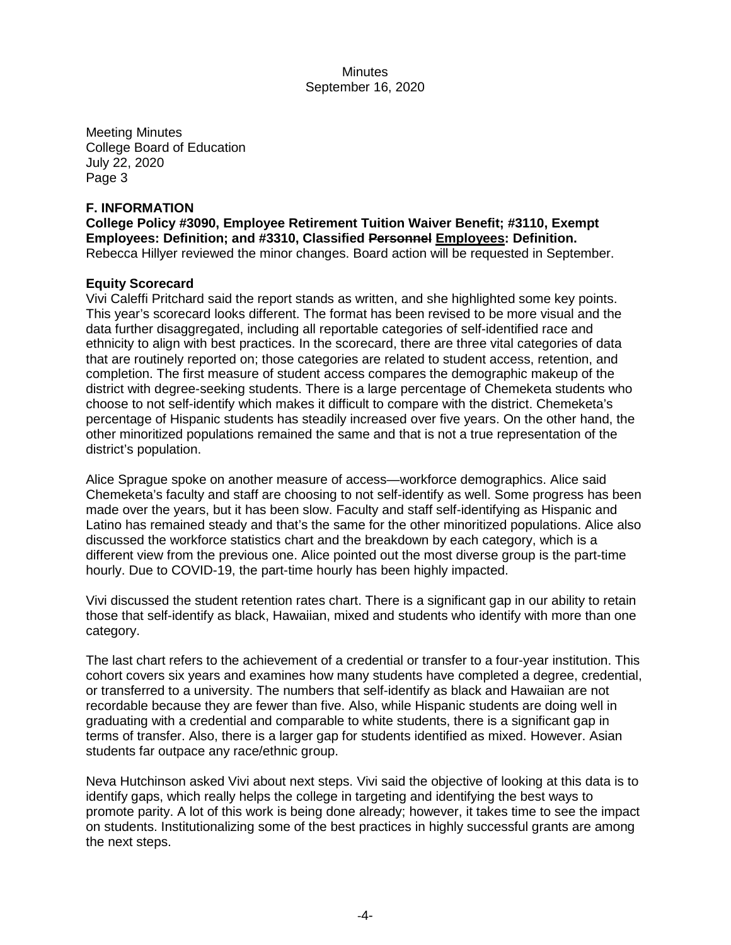Meeting Minutes College Board of Education July 22, 2020 Page 3

### **F. INFORMATION**

**College Policy #3090, Employee Retirement Tuition Waiver Benefit; #3110, Exempt Employees: Definition; and #3310, Classified Personnel Employees: Definition.** Rebecca Hillyer reviewed the minor changes. Board action will be requested in September.

### **Equity Scorecard**

Vivi Caleffi Pritchard said the report stands as written, and she highlighted some key points. This year's scorecard looks different. The format has been revised to be more visual and the data further disaggregated, including all reportable categories of self-identified race and ethnicity to align with best practices. In the scorecard, there are three vital categories of data that are routinely reported on; those categories are related to student access, retention, and completion. The first measure of student access compares the demographic makeup of the district with degree-seeking students. There is a large percentage of Chemeketa students who choose to not self-identify which makes it difficult to compare with the district. Chemeketa's percentage of Hispanic students has steadily increased over five years. On the other hand, the other minoritized populations remained the same and that is not a true representation of the district's population.

Alice Sprague spoke on another measure of access—workforce demographics. Alice said Chemeketa's faculty and staff are choosing to not self-identify as well. Some progress has been made over the years, but it has been slow. Faculty and staff self-identifying as Hispanic and Latino has remained steady and that's the same for the other minoritized populations. Alice also discussed the workforce statistics chart and the breakdown by each category, which is a different view from the previous one. Alice pointed out the most diverse group is the part-time hourly. Due to COVID-19, the part-time hourly has been highly impacted.

Vivi discussed the student retention rates chart. There is a significant gap in our ability to retain those that self-identify as black, Hawaiian, mixed and students who identify with more than one category.

The last chart refers to the achievement of a credential or transfer to a four-year institution. This cohort covers six years and examines how many students have completed a degree, credential, or transferred to a university. The numbers that self-identify as black and Hawaiian are not recordable because they are fewer than five. Also, while Hispanic students are doing well in graduating with a credential and comparable to white students, there is a significant gap in terms of transfer. Also, there is a larger gap for students identified as mixed. However. Asian students far outpace any race/ethnic group.

Neva Hutchinson asked Vivi about next steps. Vivi said the objective of looking at this data is to identify gaps, which really helps the college in targeting and identifying the best ways to promote parity. A lot of this work is being done already; however, it takes time to see the impact on students. Institutionalizing some of the best practices in highly successful grants are among the next steps.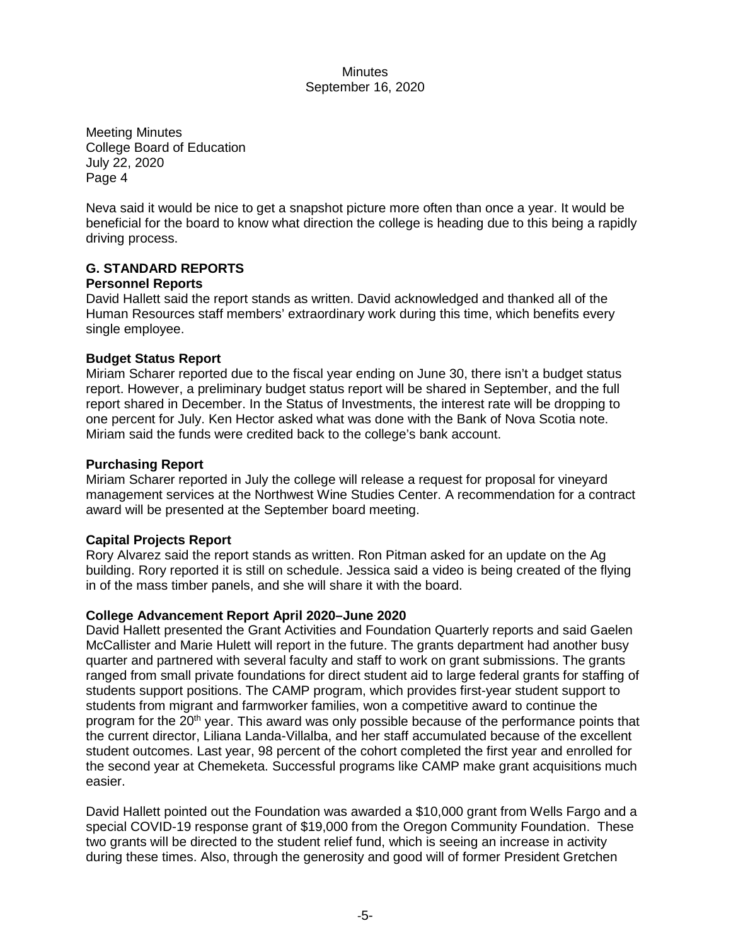Meeting Minutes College Board of Education July 22, 2020 Page 4

Neva said it would be nice to get a snapshot picture more often than once a year. It would be beneficial for the board to know what direction the college is heading due to this being a rapidly driving process.

# **G. STANDARD REPORTS**

### **Personnel Reports**

David Hallett said the report stands as written. David acknowledged and thanked all of the Human Resources staff members' extraordinary work during this time, which benefits every single employee.

# **Budget Status Report**

Miriam Scharer reported due to the fiscal year ending on June 30, there isn't a budget status report. However, a preliminary budget status report will be shared in September, and the full report shared in December. In the Status of Investments, the interest rate will be dropping to one percent for July. Ken Hector asked what was done with the Bank of Nova Scotia note. Miriam said the funds were credited back to the college's bank account.

### **Purchasing Report**

Miriam Scharer reported in July the college will release a request for proposal for vineyard management services at the Northwest Wine Studies Center. A recommendation for a contract award will be presented at the September board meeting.

# **Capital Projects Report**

Rory Alvarez said the report stands as written. Ron Pitman asked for an update on the Ag building. Rory reported it is still on schedule. Jessica said a video is being created of the flying in of the mass timber panels, and she will share it with the board.

# **College Advancement Report April 2020–June 2020**

David Hallett presented the Grant Activities and Foundation Quarterly reports and said Gaelen McCallister and Marie Hulett will report in the future. The grants department had another busy quarter and partnered with several faculty and staff to work on grant submissions. The grants ranged from small private foundations for direct student aid to large federal grants for staffing of students support positions. The CAMP program, which provides first-year student support to students from migrant and farmworker families, won a competitive award to continue the program for the 20<sup>th</sup> year. This award was only possible because of the performance points that the current director, Liliana Landa-Villalba, and her staff accumulated because of the excellent student outcomes. Last year, 98 percent of the cohort completed the first year and enrolled for the second year at Chemeketa. Successful programs like CAMP make grant acquisitions much easier.

David Hallett pointed out the Foundation was awarded a \$10,000 grant from Wells Fargo and a special COVID-19 response grant of \$19,000 from the Oregon Community Foundation. These two grants will be directed to the student relief fund, which is seeing an increase in activity during these times. Also, through the generosity and good will of former President Gretchen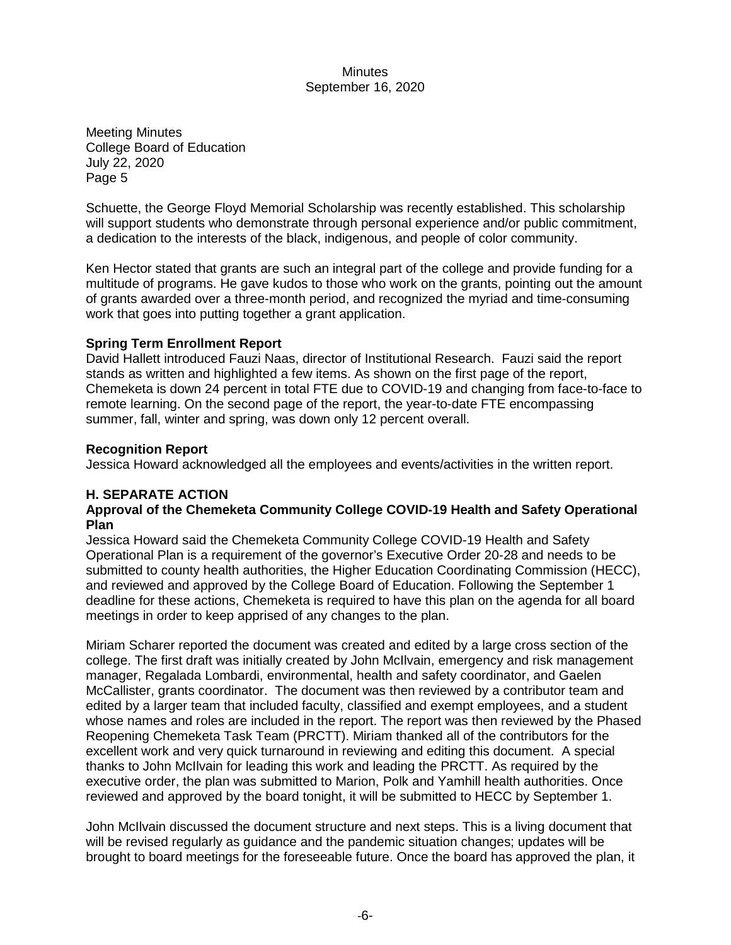Meeting Minutes College Board of Education July 22, 2020 Page 5

Schuette, the George Floyd Memorial Scholarship was recently established. This scholarship will support students who demonstrate through personal experience and/or public commitment, a dedication to the interests of the black, indigenous, and people of color community.

Ken Hector stated that grants are such an integral part of the college and provide funding for a multitude of programs. He gave kudos to those who work on the grants, pointing out the amount of grants awarded over a three-month period, and recognized the myriad and time-consuming work that goes into putting together a grant application.

### **Spring Term Enrollment Report**

David Hallett introduced Fauzi Naas, director of Institutional Research. Fauzi said the report stands as written and highlighted a few items. As shown on the first page of the report, Chemeketa is down 24 percent in total FTE due to COVID-19 and changing from face-to-face to remote learning. On the second page of the report, the year-to-date FTE encompassing summer, fall, winter and spring, was down only 12 percent overall.

### **Recognition Report**

Jessica Howard acknowledged all the employees and events/activities in the written report.

# **H. SEPARATE ACTION**

### **Approval of the Chemeketa Community College COVID-19 Health and Safety Operational Plan**

Jessica Howard said the Chemeketa Community College COVID-19 Health and Safety Operational Plan is a requirement of the governor's Executive Order 20-28 and needs to be submitted to county health authorities, the Higher Education Coordinating Commission (HECC), and reviewed and approved by the College Board of Education. Following the September 1 deadline for these actions, Chemeketa is required to have this plan on the agenda for all board meetings in order to keep apprised of any changes to the plan.

Miriam Scharer reported the document was created and edited by a large cross section of the college. The first draft was initially created by John McIlvain, emergency and risk management manager, Regalada Lombardi, environmental, health and safety coordinator, and Gaelen McCallister, grants coordinator.The document was then reviewed by a contributor team and edited by a larger team that included faculty, classified and exempt employees, and a student whose names and roles are included in the report. The report was then reviewed by the Phased Reopening Chemeketa Task Team (PRCTT). Miriam thanked all of the contributors for the excellent work and very quick turnaround in reviewing and editing this document. A special thanks to John McIlvain for leading this work and leading the PRCTT. As required by the executive order, the plan was submitted to Marion, Polk and Yamhill health authorities. Once reviewed and approved by the board tonight, it will be submitted to HECC by September 1.

John McIlvain discussed the document structure and next steps. This is a living document that will be revised regularly as guidance and the pandemic situation changes; updates will be brought to board meetings for the foreseeable future. Once the board has approved the plan, it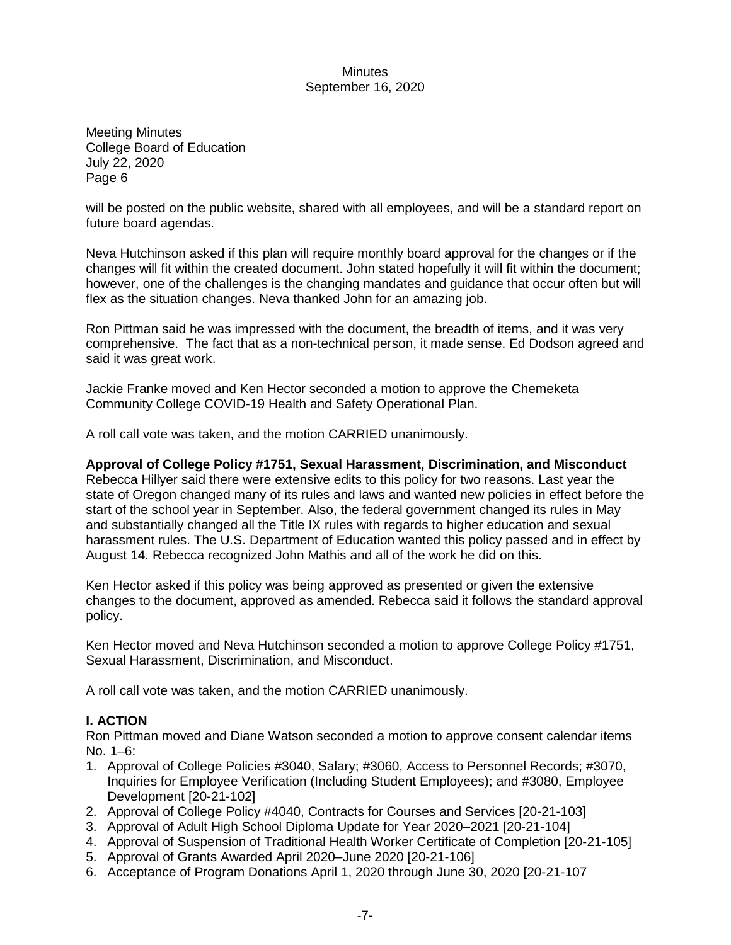Meeting Minutes College Board of Education July 22, 2020 Page 6

will be posted on the public website, shared with all employees, and will be a standard report on future board agendas.

Neva Hutchinson asked if this plan will require monthly board approval for the changes or if the changes will fit within the created document. John stated hopefully it will fit within the document; however, one of the challenges is the changing mandates and guidance that occur often but will flex as the situation changes. Neva thanked John for an amazing job.

Ron Pittman said he was impressed with the document, the breadth of items, and it was very comprehensive. The fact that as a non-technical person, it made sense. Ed Dodson agreed and said it was great work.

Jackie Franke moved and Ken Hector seconded a motion to approve the Chemeketa Community College COVID-19 Health and Safety Operational Plan.

A roll call vote was taken, and the motion CARRIED unanimously.

#### **Approval of College Policy #1751, Sexual Harassment, Discrimination, and Misconduct**

Rebecca Hillyer said there were extensive edits to this policy for two reasons. Last year the state of Oregon changed many of its rules and laws and wanted new policies in effect before the start of the school year in September. Also, the federal government changed its rules in May and substantially changed all the Title IX rules with regards to higher education and sexual harassment rules. The U.S. Department of Education wanted this policy passed and in effect by August 14. Rebecca recognized John Mathis and all of the work he did on this.

Ken Hector asked if this policy was being approved as presented or given the extensive changes to the document, approved as amended. Rebecca said it follows the standard approval policy.

Ken Hector moved and Neva Hutchinson seconded a motion to approve College Policy #1751, Sexual Harassment, Discrimination, and Misconduct.

A roll call vote was taken, and the motion CARRIED unanimously.

### **I. ACTION**

Ron Pittman moved and Diane Watson seconded a motion to approve consent calendar items  $No. 1–6$ 

- 1. Approval of College Policies #3040, Salary; #3060, Access to Personnel Records; #3070, Inquiries for Employee Verification (Including Student Employees); and #3080, Employee Development [20-21-102]
- 2. Approval of College Policy #4040, Contracts for Courses and Services [20-21-103]
- 3. Approval of Adult High School Diploma Update for Year 2020–2021 [20-21-104]
- 4. Approval of Suspension of Traditional Health Worker Certificate of Completion [20-21-105]
- 5. Approval of Grants Awarded April 2020–June 2020 [20-21-106]
- 6. Acceptance of Program Donations April 1, 2020 through June 30, 2020 [20-21-107